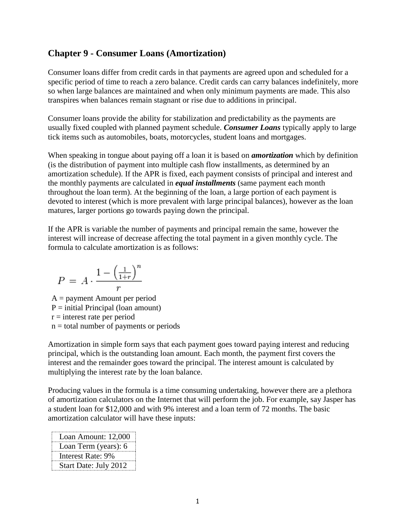# **Chapter 9 - Consumer Loans (Amortization)**

Consumer loans differ from credit cards in that payments are agreed upon and scheduled for a specific period of time to reach a zero balance. Credit cards can carry balances indefinitely, more so when large balances are maintained and when only minimum payments are made. This also transpires when balances remain stagnant or rise due to additions in principal.

Consumer loans provide the ability for stabilization and predictability as the payments are usually fixed coupled with planned payment schedule. *Consumer Loans* typically apply to large tick items such as automobiles, boats, motorcycles, student loans and mortgages.

When speaking in tongue about paying off a loan it is based on *amortization* which by definition (is the distribution of payment into multiple cash flow installments, as determined by an amortization schedule). If the APR is fixed, each payment consists of principal and interest and the monthly payments are calculated in *equal installments* (same payment each month throughout the loan term). At the beginning of the loan, a large portion of each payment is devoted to interest (which is more prevalent with large principal balances), however as the loan matures, larger portions go towards paying down the principal.

If the APR is variable the number of payments and principal remain the same, however the interest will increase of decrease affecting the total payment in a given monthly cycle. The formula to calculate amortization is as follows:

$$
P = A \cdot \frac{1 - \left(\frac{1}{1+r}\right)^n}{r}
$$

 $A =$  payment Amount per period  $P = initial Principal (loan amount)$  $r =$  interest rate per period  $n =$  total number of payments or periods

Amortization in simple form says that each payment goes toward paying interest and reducing principal, which is the outstanding loan amount. Each month, the payment first covers the interest and the remainder goes toward the principal. The interest amount is calculated by multiplying the interest rate by the loan balance.

Producing values in the formula is a time consuming undertaking, however there are a plethora of amortization calculators on the Internet that will perform the job. For example, say Jasper has a student loan for \$12,000 and with 9% interest and a loan term of 72 months. The basic amortization calculator will have these inputs:

| Loan Amount: 12,000   |
|-----------------------|
| Loan Term (years): 6  |
| Interest Rate: 9%     |
| Start Date: July 2012 |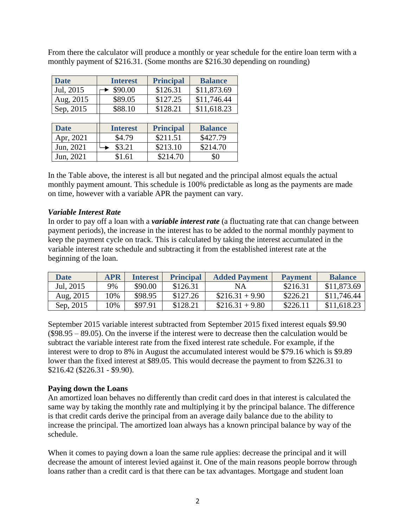| <b>Date</b> | <b>Interest</b> | <b>Principal</b> | <b>Balance</b> |
|-------------|-----------------|------------------|----------------|
| Jul, 2015   | \$90.00         | \$126.31         | \$11,873.69    |
| Aug, 2015   | \$89.05         | \$127.25         | \$11,746.44    |
| Sep, 2015   | \$88.10         | \$128.21         | \$11,618.23    |
|             |                 |                  |                |
| <b>Date</b> | <b>Interest</b> | <b>Principal</b> | <b>Balance</b> |
| Apr, 2021   | \$4.79          | \$211.51         | \$427.79       |
| Jun, 2021   | \$3.21          | \$213.10         | \$214.70       |
| Jun, 2021   | \$1.61          | \$214.70         | \$0            |

From there the calculator will produce a monthly or year schedule for the entire loan term with a monthly payment of \$216.31. (Some months are \$216.30 depending on rounding)

In the Table above, the interest is all but negated and the principal almost equals the actual monthly payment amount. This schedule is 100% predictable as long as the payments are made on time, however with a variable APR the payment can vary.

### *Variable Interest Rate*

In order to pay off a loan with a *variable interest rate* (a fluctuating rate that can change between payment periods), the increase in the interest has to be added to the normal monthly payment to keep the payment cycle on track. This is calculated by taking the interest accumulated in the variable interest rate schedule and subtracting it from the established interest rate at the beginning of the loan.

| <b>Date</b> | <b>APR</b> | <b>Interest</b> | <b>Principal</b> | <b>Added Payment</b> | <b>Payment</b> | <b>Balance</b> |
|-------------|------------|-----------------|------------------|----------------------|----------------|----------------|
| Jul, 2015   | 9%         | \$90.00         | \$126.31         | NA.                  | \$216.31       | \$11,873.69    |
| Aug, 2015   | 0%         | \$98.95         | \$127.26         | $$216.31 + 9.90$     | \$226.21       | \$11,746.44    |
| Sep. 2015   | $0\%$      | \$97.91         | \$128.21         | $$216.31 + 9.80$     | \$226.11       | \$11,618.23    |

September 2015 variable interest subtracted from September 2015 fixed interest equals \$9.90  $(\$98.95 - 89.05)$ . On the inverse if the interest were to decrease then the calculation would be subtract the variable interest rate from the fixed interest rate schedule. For example, if the interest were to drop to 8% in August the accumulated interest would be \$79.16 which is \$9.89 lower than the fixed interest at \$89.05. This would decrease the payment to from \$226.31 to \$216.42 (\$226.31 - \$9.90).

#### **Paying down the Loans**

An amortized loan behaves no differently than credit card does in that interest is calculated the same way by taking the monthly rate and multiplying it by the principal balance. The difference is that credit cards derive the principal from an average daily balance due to the ability to increase the principal. The amortized loan always has a known principal balance by way of the schedule.

When it comes to paying down a loan the same rule applies: decrease the principal and it will decrease the amount of interest levied against it. One of the main reasons people borrow through loans rather than a credit card is that there can be tax advantages. Mortgage and student loan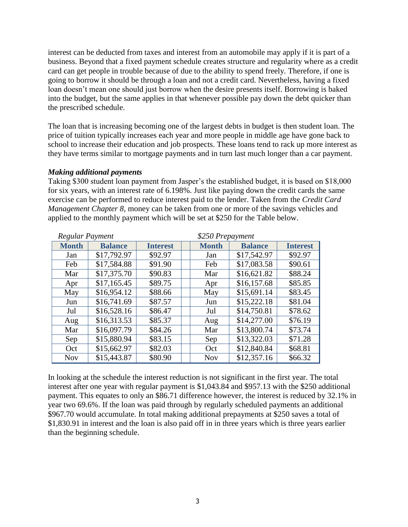interest can be deducted from taxes and interest from an automobile may apply if it is part of a business. Beyond that a fixed payment schedule creates structure and regularity where as a credit card can get people in trouble because of due to the ability to spend freely. Therefore, if one is going to borrow it should be through a loan and not a credit card. Nevertheless, having a fixed loan doesn't mean one should just borrow when the desire presents itself. Borrowing is baked into the budget, but the same applies in that whenever possible pay down the debt quicker than the prescribed schedule.

The loan that is increasing becoming one of the largest debts in budget is then student loan. The price of tuition typically increases each year and more people in middle age have gone back to school to increase their education and job prospects. These loans tend to rack up more interest as they have terms similar to mortgage payments and in turn last much longer than a car payment.

#### *Making additional payments*

Taking \$300 student loan payment from Jasper's the established budget, it is based on \$18,000 for six years, with an interest rate of 6.198%. Just like paying down the credit cards the same exercise can be performed to reduce interest paid to the lender. Taken from the *Credit Card Management Chapter 8*, money can be taken from one or more of the savings vehicles and applied to the monthly payment which will be set at \$250 for the Table below.

| Regular Payment |                | \$250 Prepayment |              |  |                |                 |
|-----------------|----------------|------------------|--------------|--|----------------|-----------------|
| <b>Month</b>    | <b>Balance</b> | <b>Interest</b>  | <b>Month</b> |  | <b>Balance</b> | <b>Interest</b> |
| Jan             | \$17,792.97    | \$92.97          | Jan          |  | \$17,542.97    | \$92.97         |
| Feb             | \$17,584.88    | \$91.90          | Feb          |  | \$17,083.58    | \$90.61         |
| Mar             | \$17,375.70    | \$90.83          | Mar          |  | \$16,621.82    | \$88.24         |
| Apr             | \$17,165.45    | \$89.75          | Apr          |  | \$16,157.68    | \$85.85         |
| May             | \$16,954.12    | \$88.66          | May          |  | \$15,691.14    | \$83.45         |
| Jun             | \$16,741.69    | \$87.57          | Jun          |  | \$15,222.18    | \$81.04         |
| Jul             | \$16,528.16    | \$86.47          | Jul          |  | \$14,750.81    | \$78.62         |
| Aug             | \$16,313.53    | \$85.37          | Aug          |  | \$14,277.00    | \$76.19         |
| Mar             | \$16,097.79    | \$84.26          | Mar          |  | \$13,800.74    | \$73.74         |
| Sep             | \$15,880.94    | \$83.15          | Sep          |  | \$13,322.03    | \$71.28         |
| Oct             | \$15,662.97    | \$82.03          | Oct          |  | \$12,840.84    | \$68.81         |
| <b>Nov</b>      | \$15,443.87    | \$80.90          | <b>Nov</b>   |  | \$12,357.16    | \$66.32         |

In looking at the schedule the interest reduction is not significant in the first year. The total interest after one year with regular payment is \$1,043.84 and \$957.13 with the \$250 additional payment. This equates to only an \$86.71 difference however, the interest is reduced by 32.1% in year two 69.6%. If the loan was paid through by regularly scheduled payments an additional \$967.70 would accumulate. In total making additional prepayments at \$250 saves a total of \$1,830.91 in interest and the loan is also paid off in in three years which is three years earlier than the beginning schedule.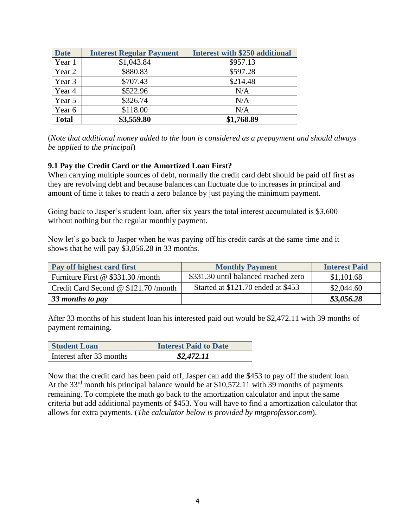| <b>Date</b>  | <b>Interest Regular Payment</b> | <b>Interest with \$250 additional</b> |
|--------------|---------------------------------|---------------------------------------|
| Year 1       | \$1,043.84                      | \$957.13                              |
| Year 2       | \$880.83                        | \$597.28                              |
| Year 3       | \$707.43                        | \$214.48                              |
| Year 4       | \$522.96                        | N/A                                   |
| Year 5       | \$326.74                        | N/A                                   |
| Year 6       | \$118.00                        | N/A                                   |
| <b>Total</b> | \$3,559.80                      | \$1,768.89                            |

(*Note that additional money added to the loan is considered as a prepayment and should always be applied to the principal*)

### **9.1 Pay the Credit Card or the Amortized Loan First?**

When carrying multiple sources of debt, normally the credit card debt should be paid off first as they are revolving debt and because balances can fluctuate due to increases in principal and amount of time it takes to reach a zero balance by just paying the minimum payment.

Going back to Jasper's student loan, after six years the total interest accumulated is \$3,600 without nothing but the regular monthly payment.

Now let's go back to Jasper when he was paying off his credit cards at the same time and it shows that he will pay \$3,056.28 in 33 months.

| Pay off highest card first          | <b>Monthly Payment</b>               | <b>Interest Paid</b> |
|-------------------------------------|--------------------------------------|----------------------|
| Furniture First @ \$331.30 /month   | \$331.30 until balanced reached zero | \$1,101.68           |
| Credit Card Second @ \$121.70/month | Started at \$121.70 ended at \$453   | \$2,044.60           |
| 33 months to pay                    |                                      | \$3,056.28           |

After 33 months of his student loan his interested paid out would be \$2,472.11 with 39 months of payment remaining.

| <b>Student Loan</b>      | <b>Interest Paid to Date</b> |
|--------------------------|------------------------------|
| Interest after 33 months | \$2,472.11                   |

Now that the credit card has been paid off, Jasper can add the \$453 to pay off the student loan. At the 33<sup>rd</sup> month his principal balance would be at \$10,572.11 with 39 months of payments remaining. To complete the math go back to the amortization calculator and input the same criteria but add additional payments of \$453. You will have to find a amortization calculator that allows for extra payments. (*The calculator below is provided by mtgprofessor.com*).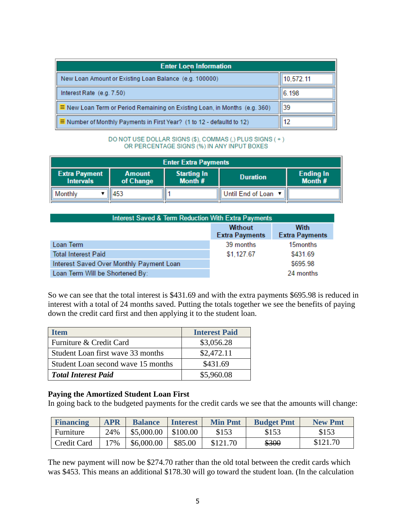| <b>Enter Loan Information</b>                                                     |           |  |  |  |
|-----------------------------------------------------------------------------------|-----------|--|--|--|
| New Loan Amount or Existing Loan Balance (e.g. 100000)                            | 10,572.11 |  |  |  |
| Interest Rate (e.g. 7.50)                                                         | 6.198     |  |  |  |
| $\equiv$ New Loan Term or Period Remaining on Existing Loan, in Months (e.g. 360) | 39        |  |  |  |
| $\equiv$ Number of Monthly Payments in First Year? (1 to 12 - defaultd to 12)     | 12        |  |  |  |

DO NOT USE DOLLAR SIGNS (\$), COMMAS (,) PLUS SIGNS (+) OR PERCENTAGE SIGNS (%) IN ANY INPUT BOXES

| <b>Enter Extra Payments</b>                                                                                                                                 |       |  |                     |  |  |  |
|-------------------------------------------------------------------------------------------------------------------------------------------------------------|-------|--|---------------------|--|--|--|
| <b>Ending In</b><br><b>Extra Payment</b><br><b>Starting In</b><br><b>Amount</b><br><b>Duration</b><br>Month #<br>Month $#$<br>of Change<br><b>Intervals</b> |       |  |                     |  |  |  |
| Monthly                                                                                                                                                     | 11453 |  | Until End of Loan ▼ |  |  |  |

| <b>Interest Saved &amp; Term Reduction With Extra Payments</b> |                                         |                               |  |  |  |
|----------------------------------------------------------------|-----------------------------------------|-------------------------------|--|--|--|
|                                                                | <b>Without</b><br><b>Extra Payments</b> | With<br><b>Extra Payments</b> |  |  |  |
| Loan Term                                                      | 39 months                               | 15 <sub>months</sub>          |  |  |  |
| <b>Total Interest Paid</b>                                     | \$1,127.67                              | \$431.69                      |  |  |  |
| Interest Saved Over Monthly Payment Loan                       |                                         | \$695.98                      |  |  |  |
| Loan Term Will be Shortened By:                                |                                         | 24 months                     |  |  |  |

So we can see that the total interest is \$431.69 and with the extra payments \$695.98 is reduced in interest with a total of 24 months saved. Putting the totals together we see the benefits of paying down the credit card first and then applying it to the student loan.

| <b>Item</b>                        | <b>Interest Paid</b> |
|------------------------------------|----------------------|
| Furniture & Credit Card            | \$3,056.28           |
| Student Loan first wave 33 months  | \$2,472.11           |
| Student Loan second wave 15 months | \$431.69             |
| <b>Total Interest Paid</b>         | \$5,960.08           |

#### **Paying the Amortized Student Loan First**

In going back to the budgeted payments for the credit cards we see that the amounts will change:

| <b>Financing</b> | <b>APR</b> | <b>Balance</b> | <b>Interest</b> | <b>Min Pmt</b> | <b>Budget Pmt</b> | <b>New Pmt</b> |
|------------------|------------|----------------|-----------------|----------------|-------------------|----------------|
| Furniture        | 24%        | \$5,000.00     | \$100.00        | \$153          | \$153             | \$153          |
| Credit Card      | $7\%$      | \$6,000.00     | \$85.00         | \$121.70       | \$300             | \$121.70       |

The new payment will now be \$274.70 rather than the old total between the credit cards which was \$453. This means an additional \$178.30 will go toward the student loan. (In the calculation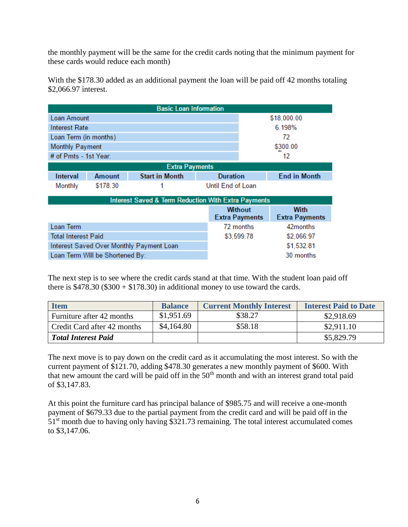the monthly payment will be the same for the credit cards noting that the minimum payment for these cards would reduce each month)

With the \$178.30 added as an additional payment the loan will be paid off 42 months totaling \$2,066.97 interest.

| <b>Basic Loan Information</b>                                  |                                          |                       |                   |                                         |                                      |  |  |
|----------------------------------------------------------------|------------------------------------------|-----------------------|-------------------|-----------------------------------------|--------------------------------------|--|--|
| Loan Amount                                                    |                                          |                       | \$18,000.00       |                                         |                                      |  |  |
| Interest Rate                                                  |                                          |                       | 6.198%            |                                         |                                      |  |  |
| Loan Term (in months)                                          |                                          |                       |                   | 72                                      |                                      |  |  |
| <b>Monthly Payment</b>                                         |                                          |                       | \$300.00          |                                         |                                      |  |  |
| # of Pmts - 1st Year:                                          |                                          |                       | 12                |                                         |                                      |  |  |
| <b>Extra Payments</b>                                          |                                          |                       |                   |                                         |                                      |  |  |
| Interval                                                       | Amount                                   | <b>Start in Month</b> | <b>Duration</b>   |                                         | <b>End in Month</b>                  |  |  |
| Monthly                                                        | \$178.30                                 |                       | Until End of Loan |                                         |                                      |  |  |
| <b>Interest Saved &amp; Term Reduction With Extra Payments</b> |                                          |                       |                   |                                         |                                      |  |  |
|                                                                |                                          |                       |                   | <b>Without</b><br><b>Extra Payments</b> | <b>With</b><br><b>Extra Payments</b> |  |  |
| Loan Term                                                      |                                          |                       |                   | 72 months                               | 42 months                            |  |  |
| <b>Total Interest Paid</b>                                     |                                          |                       | \$3,599.78        | \$2,066.97                              |                                      |  |  |
|                                                                | Interest Saved Over Monthly Payment Loan |                       |                   | \$1,532.81                              |                                      |  |  |
| Loan Term Will be Shortened By:                                |                                          |                       |                   |                                         | 30 months                            |  |  |

The next step is to see where the credit cards stand at that time. With the student loan paid off there is  $$478.30 ($300 + $178.30)$  in additional money to use toward the cards.

| <b>Item</b>                 | <b>Balance</b> | <b>Current Monthly Interest</b> | <b>Interest Paid to Date</b> |
|-----------------------------|----------------|---------------------------------|------------------------------|
| Furniture after 42 months   | \$1,951.69     | \$38.27                         | \$2,918.69                   |
| Credit Card after 42 months | \$4,164.80     | \$58.18                         | \$2,911.10                   |
| <b>Total Interest Paid</b>  |                |                                 | \$5,829.79                   |

The next move is to pay down on the credit card as it accumulating the most interest. So with the current payment of \$121.70, adding \$478.30 generates a new monthly payment of \$600. With that new amount the card will be paid off in the  $50<sup>th</sup>$  month and with an interest grand total paid of \$3,147.83.

At this point the furniture card has principal balance of \$985.75 and will receive a one-month payment of \$679.33 due to the partial payment from the credit card and will be paid off in the  $51<sup>st</sup>$  month due to having only having \$321.73 remaining. The total interest accumulated comes to \$3,147.06.